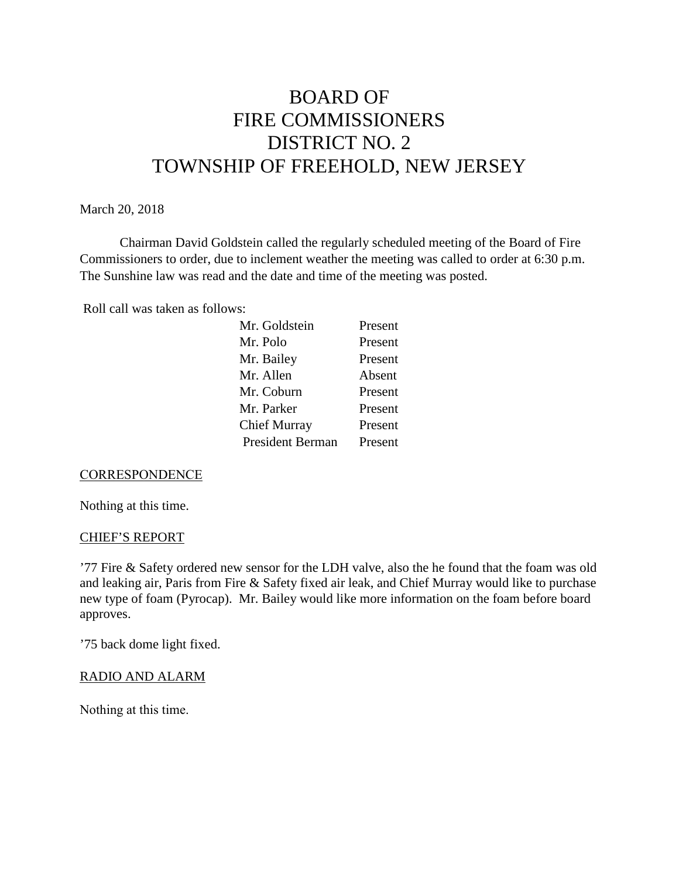# BOARD OF FIRE COMMISSIONERS DISTRICT NO. 2 TOWNSHIP OF FREEHOLD, NEW JERSEY

#### March 20, 2018

Chairman David Goldstein called the regularly scheduled meeting of the Board of Fire Commissioners to order, due to inclement weather the meeting was called to order at 6:30 p.m. The Sunshine law was read and the date and time of the meeting was posted.

Roll call was taken as follows:

| Mr. Goldstein           | Present |
|-------------------------|---------|
| Mr. Polo                | Present |
| Mr. Bailey              | Present |
| Mr. Allen               | Absent  |
| Mr. Coburn              | Present |
| Mr. Parker              | Present |
| Chief Murray            | Present |
| <b>President Berman</b> | Present |

# **CORRESPONDENCE**

Nothing at this time.

# CHIEF'S REPORT

'77 Fire & Safety ordered new sensor for the LDH valve, also the he found that the foam was old and leaking air, Paris from Fire & Safety fixed air leak, and Chief Murray would like to purchase new type of foam (Pyrocap). Mr. Bailey would like more information on the foam before board approves.

'75 back dome light fixed.

# RADIO AND ALARM

Nothing at this time.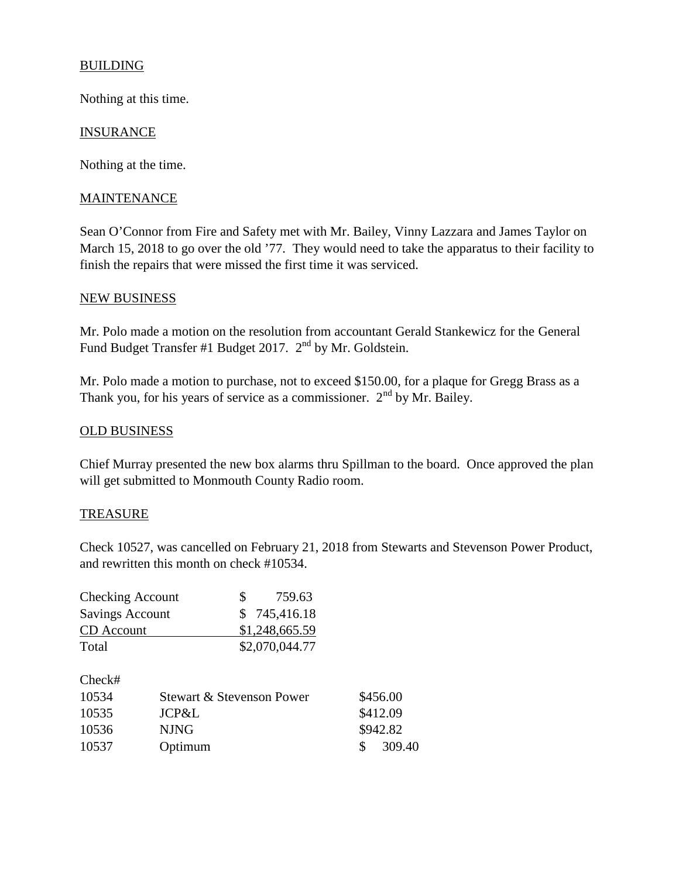# **BUILDING**

Nothing at this time.

# **INSURANCE**

Nothing at the time.

# **MAINTENANCE**

Sean O'Connor from Fire and Safety met with Mr. Bailey, Vinny Lazzara and James Taylor on March 15, 2018 to go over the old '77. They would need to take the apparatus to their facility to finish the repairs that were missed the first time it was serviced.

# NEW BUSINESS

Mr. Polo made a motion on the resolution from accountant Gerald Stankewicz for the General Fund Budget Transfer #1 Budget 2017. 2<sup>nd</sup> by Mr. Goldstein.

Mr. Polo made a motion to purchase, not to exceed \$150.00, for a plaque for Gregg Brass as a Thank you, for his years of service as a commissioner.  $2<sup>nd</sup>$  by Mr. Bailey.

# OLD BUSINESS

Chief Murray presented the new box alarms thru Spillman to the board. Once approved the plan will get submitted to Monmouth County Radio room.

# **TREASURE**

Check 10527, was cancelled on February 21, 2018 from Stewarts and Stevenson Power Product, and rewritten this month on check #10534.

| <b>Checking Account</b> |                           | \$             | 759.63         |          |  |  |
|-------------------------|---------------------------|----------------|----------------|----------|--|--|
| <b>Savings Account</b>  |                           |                | \$745,416.18   |          |  |  |
| <b>CD</b> Account       |                           |                | \$1,248,665.59 |          |  |  |
| Total                   |                           | \$2,070,044.77 |                |          |  |  |
| Check#                  |                           |                |                |          |  |  |
| 10534                   | Stewart & Stevenson Power |                |                | \$456.00 |  |  |
| 10535                   | JCP&L                     |                | \$412.09       |          |  |  |
| 10536                   | <b>NJNG</b>               |                |                | \$942.82 |  |  |
| 10537                   | Optimum                   |                | \$             | 309.40   |  |  |